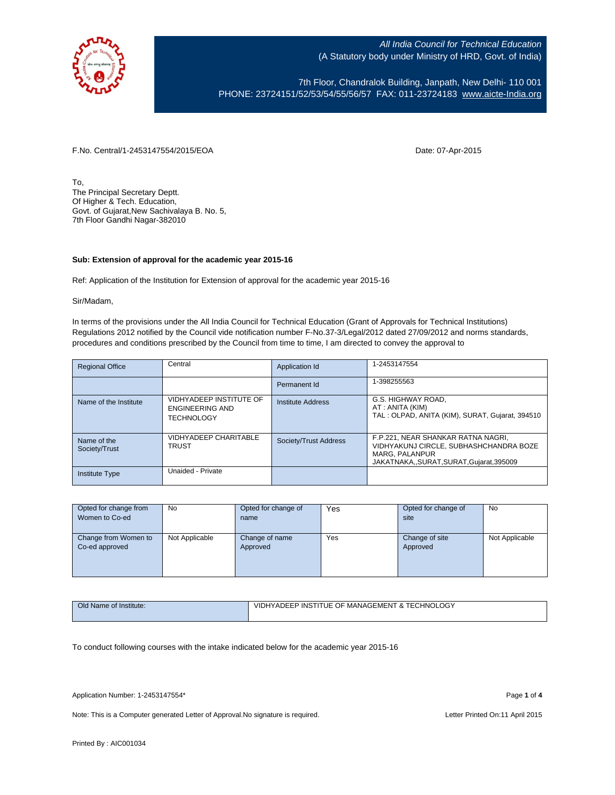

7th Floor, Chandralok Building, Janpath, New Delhi- 110 001 PHONE: 23724151/52/53/54/55/56/57 FAX: 011-23724183 [www.aicte-India.org](http://www.aicte-india.org/)

F.No. Central/1-2453147554/2015/EOA Date: 07-Apr-2015

To, The Principal Secretary Deptt. Of Higher & Tech. Education, Govt. of Gujarat,New Sachivalaya B. No. 5, 7th Floor Gandhi Nagar-382010

## **Sub: Extension of approval for the academic year 2015-16**

Ref: Application of the Institution for Extension of approval for the academic year 2015-16

Sir/Madam,

In terms of the provisions under the All India Council for Technical Education (Grant of Approvals for Technical Institutions) Regulations 2012 notified by the Council vide notification number F-No.37-3/Legal/2012 dated 27/09/2012 and norms standards, procedures and conditions prescribed by the Council from time to time, I am directed to convey the approval to

| <b>Regional Office</b>       | Central                                                         | Application Id        | 1-2453147554                                                                                                                            |
|------------------------------|-----------------------------------------------------------------|-----------------------|-----------------------------------------------------------------------------------------------------------------------------------------|
|                              |                                                                 | Permanent Id          | 1-398255563                                                                                                                             |
| Name of the Institute        | VIDHYADEEP INSTITUTE OF<br>ENGINEERING AND<br><b>TECHNOLOGY</b> | Institute Address     | G.S. HIGHWAY ROAD.<br>AT: ANITA (KIM)<br>TAL: OLPAD, ANITA (KIM), SURAT, Gujarat, 394510                                                |
| Name of the<br>Society/Trust | VIDHYADEEP CHARITABLE<br><b>TRUST</b>                           | Society/Trust Address | F.P.221, NEAR SHANKAR RATNA NAGRI,<br>VIDHYAKUNJ CIRCLE, SUBHASHCHANDRA BOZE<br>MARG, PALANPUR<br>JAKATNAKA,,SURAT,SURAT,Gujarat,395009 |
| Institute Type               | Unaided - Private                                               |                       |                                                                                                                                         |

| Opted for change from                  | No             | Opted for change of        | Yes | Opted for change of        | No             |
|----------------------------------------|----------------|----------------------------|-----|----------------------------|----------------|
| Women to Co-ed                         |                | name                       |     | site                       |                |
| Change from Women to<br>Co-ed approved | Not Applicable | Change of name<br>Approved | Yes | Change of site<br>Approved | Not Applicable |
|                                        |                |                            |     |                            |                |

| Old Name of Institute: | LOG`<br>: OF MANAGEMENT & TECHNOLO<br>VIDHYADEEP INSTITUE O<br>___ |  |  |  |  |
|------------------------|--------------------------------------------------------------------|--|--|--|--|
|                        |                                                                    |  |  |  |  |

To conduct following courses with the intake indicated below for the academic year 2015-16

Application Number: 1-2453147554\* Page **1** of **4**

Note: This is a Computer generated Letter of Approval. No signature is required. Letter Printed On:11 April 2015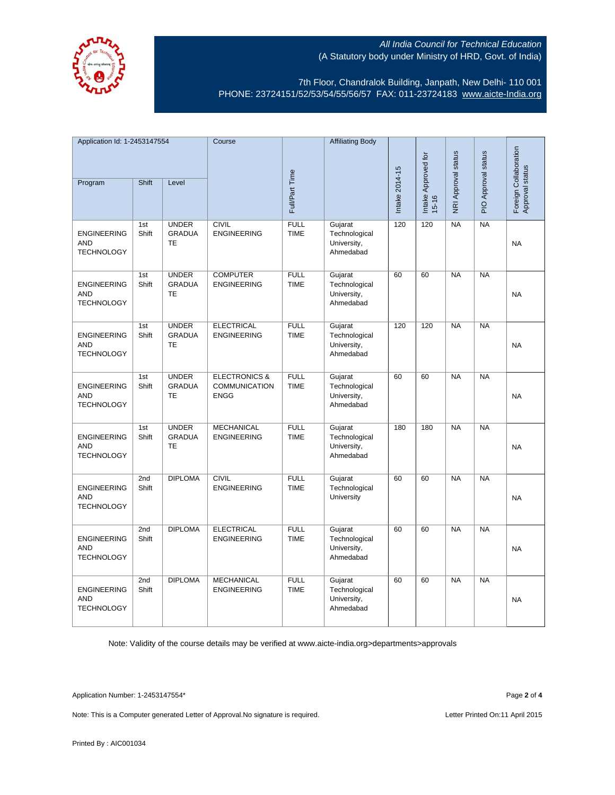

7th Floor, Chandralok Building, Janpath, New Delhi- 110 001 PHONE: 23724151/52/53/54/55/56/57 FAX: 011-23724183 [www.aicte-India.org](http://www.aicte-india.org/)

| Application Id: 1-2453147554                          |              | Course                                     |                                                                 | <b>Affiliating Body</b>    |                                                      |                |                                  |                     |                     |                                          |
|-------------------------------------------------------|--------------|--------------------------------------------|-----------------------------------------------------------------|----------------------------|------------------------------------------------------|----------------|----------------------------------|---------------------|---------------------|------------------------------------------|
| Program                                               | Shift        | Level                                      |                                                                 | Full/Part Time             |                                                      | Intake 2014-15 | Intake Approved for<br>$15 - 16$ | NRI Approval status | PIO Approval status | Foreign Collaboration<br>Approval status |
|                                                       |              |                                            |                                                                 |                            |                                                      |                |                                  |                     |                     |                                          |
| <b>ENGINEERING</b><br><b>AND</b><br><b>TECHNOLOGY</b> | 1st<br>Shift | <b>UNDER</b><br><b>GRADUA</b><br><b>TE</b> | <b>CIVIL</b><br><b>ENGINEERING</b>                              | <b>FULL</b><br><b>TIME</b> | Gujarat<br>Technological<br>University,<br>Ahmedabad | 120            | 120                              | NA                  | NA                  | <b>NA</b>                                |
| <b>ENGINEERING</b><br>AND<br><b>TECHNOLOGY</b>        | 1st<br>Shift | <b>UNDER</b><br><b>GRADUA</b><br><b>TE</b> | <b>COMPUTER</b><br><b>ENGINEERING</b>                           | <b>FULL</b><br><b>TIME</b> | Gujarat<br>Technological<br>University,<br>Ahmedabad | 60             | 60                               | NA                  | NA                  | <b>NA</b>                                |
| <b>ENGINEERING</b><br>AND<br><b>TECHNOLOGY</b>        | 1st<br>Shift | <b>UNDER</b><br><b>GRADUA</b><br><b>TE</b> | <b>ELECTRICAL</b><br><b>ENGINEERING</b>                         | <b>FULL</b><br><b>TIME</b> | Gujarat<br>Technological<br>University,<br>Ahmedabad | 120            | 120                              | NA                  | NA                  | <b>NA</b>                                |
| <b>ENGINEERING</b><br><b>AND</b><br><b>TECHNOLOGY</b> | 1st<br>Shift | <b>UNDER</b><br><b>GRADUA</b><br>TE        | <b>ELECTRONICS &amp;</b><br><b>COMMUNICATION</b><br><b>ENGG</b> | <b>FULL</b><br><b>TIME</b> | Gujarat<br>Technological<br>University,<br>Ahmedabad | 60             | 60                               | NA                  | NA                  | <b>NA</b>                                |
| <b>ENGINEERING</b><br><b>AND</b><br><b>TECHNOLOGY</b> | 1st<br>Shift | <b>UNDER</b><br><b>GRADUA</b><br>TE        | <b>MECHANICAL</b><br><b>ENGINEERING</b>                         | <b>FULL</b><br><b>TIME</b> | Gujarat<br>Technological<br>University,<br>Ahmedabad | 180            | 180                              | <b>NA</b>           | <b>NA</b>           | <b>NA</b>                                |
| <b>ENGINEERING</b><br><b>AND</b><br><b>TECHNOLOGY</b> | 2nd<br>Shift | <b>DIPLOMA</b>                             | <b>CIVIL</b><br><b>ENGINEERING</b>                              | <b>FULL</b><br><b>TIME</b> | Gujarat<br>Technological<br>University               | 60             | 60                               | <b>NA</b>           | <b>NA</b>           | <b>NA</b>                                |
| <b>ENGINEERING</b><br><b>AND</b><br><b>TECHNOLOGY</b> | 2nd<br>Shift | <b>DIPLOMA</b>                             | <b>ELECTRICAL</b><br><b>ENGINEERING</b>                         | <b>FULL</b><br><b>TIME</b> | Gujarat<br>Technological<br>University,<br>Ahmedabad | 60             | 60                               | <b>NA</b>           | <b>NA</b>           | <b>NA</b>                                |
| <b>ENGINEERING</b><br><b>AND</b><br><b>TECHNOLOGY</b> | 2nd<br>Shift | <b>DIPLOMA</b>                             | <b>MECHANICAL</b><br><b>ENGINEERING</b>                         | <b>FULL</b><br><b>TIME</b> | Gujarat<br>Technological<br>University,<br>Ahmedabad | 60             | 60                               | <b>NA</b>           | <b>NA</b>           | <b>NA</b>                                |

Note: Validity of the course details may be verified at www.aicte-india.org>departments>approvals

Application Number: 1-2453147554\* Page **2** of **4**

Note: This is a Computer generated Letter of Approval. No signature is required. Letter Printed On:11 April 2015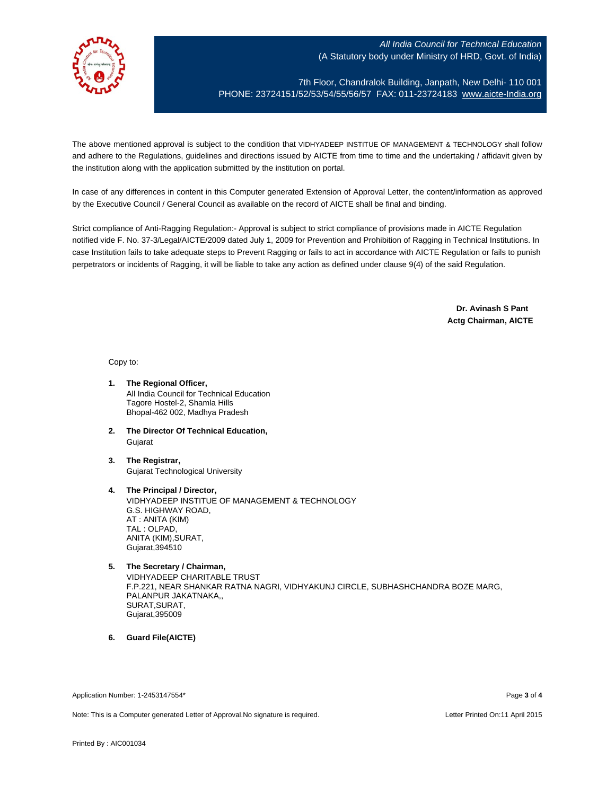

7th Floor, Chandralok Building, Janpath, New Delhi- 110 001 PHONE: 23724151/52/53/54/55/56/57 FAX: 011-23724183 [www.aicte-India.org](http://www.aicte-india.org/)

The above mentioned approval is subject to the condition that VIDHYADEEP INSTITUE OF MANAGEMENT & TECHNOLOGY shall follow and adhere to the Regulations, guidelines and directions issued by AICTE from time to time and the undertaking / affidavit given by the institution along with the application submitted by the institution on portal.

In case of any differences in content in this Computer generated Extension of Approval Letter, the content/information as approved by the Executive Council / General Council as available on the record of AICTE shall be final and binding.

Strict compliance of Anti-Ragging Regulation:- Approval is subject to strict compliance of provisions made in AICTE Regulation notified vide F. No. 37-3/Legal/AICTE/2009 dated July 1, 2009 for Prevention and Prohibition of Ragging in Technical Institutions. In case Institution fails to take adequate steps to Prevent Ragging or fails to act in accordance with AICTE Regulation or fails to punish perpetrators or incidents of Ragging, it will be liable to take any action as defined under clause 9(4) of the said Regulation.

> **Dr. Avinash S Pant Actg Chairman, AICTE**

Copy to:

- **1. The Regional Officer,** All India Council for Technical Education Tagore Hostel-2, Shamla Hills Bhopal-462 002, Madhya Pradesh
- **2. The Director Of Technical Education,** Gujarat
- **3. The Registrar,** Gujarat Technological University
- **4. The Principal / Director,** VIDHYADEEP INSTITUE OF MANAGEMENT & TECHNOLOGY G.S. HIGHWAY ROAD, AT : ANITA (KIM) TAL : OLPAD, ANITA (KIM),SURAT, Gujarat,394510
- **5. The Secretary / Chairman,** VIDHYADEEP CHARITABLE TRUST F.P.221, NEAR SHANKAR RATNA NAGRI, VIDHYAKUNJ CIRCLE, SUBHASHCHANDRA BOZE MARG, PALANPUR JAKATNAKA,, SURAT,SURAT, Gujarat,395009
- **6. Guard File(AICTE)**

Application Number: 1-2453147554\* Page **3** of **4**

Note: This is a Computer generated Letter of Approval.No signature is required. Letter According the state of the Letter Printed On:11 April 2015